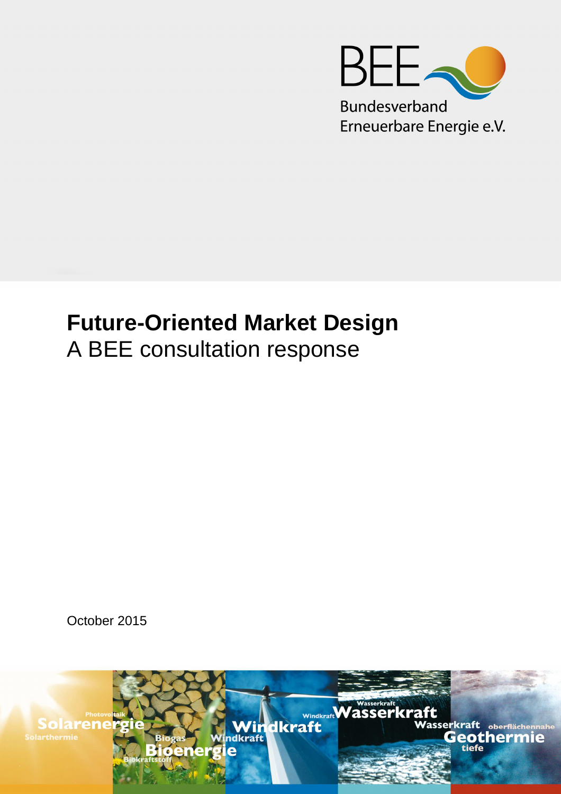

# **Future-Oriented Market Design**  A BEE consultation response

October 2015

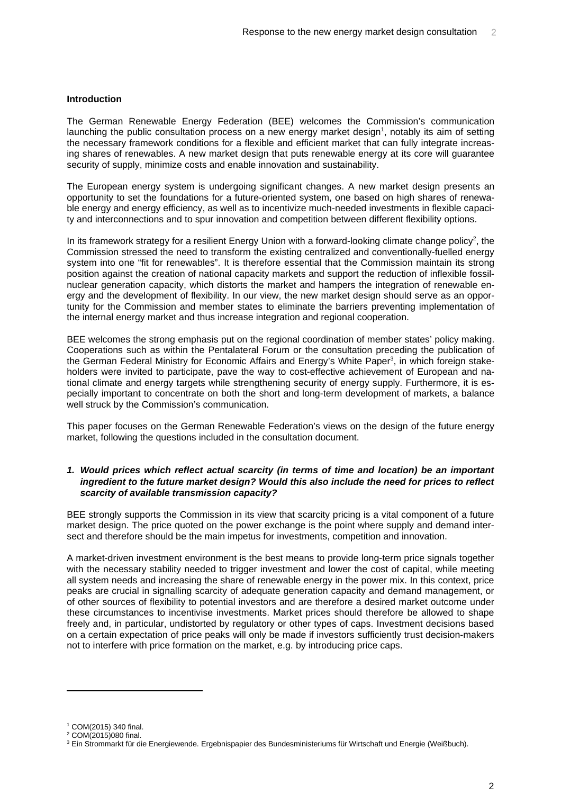## **Introduction**

The German Renewable Energy Federation (BEE) welcomes the Commission's communication launching the public consultation process on a new energy market design<sup>1</sup>, notably its aim of setting the necessary framework conditions for a flexible and efficient market that can fully integrate increasing shares of renewables. A new market design that puts renewable energy at its core will guarantee security of supply, minimize costs and enable innovation and sustainability.

The European energy system is undergoing significant changes. A new market design presents an opportunity to set the foundations for a future-oriented system, one based on high shares of renewable energy and energy efficiency, as well as to incentivize much-needed investments in flexible capacity and interconnections and to spur innovation and competition between different flexibility options.

In its framework strategy for a resilient Energy Union with a forward-looking climate change policy<sup>2</sup>, the Commission stressed the need to transform the existing centralized and conventionally-fuelled energy system into one "fit for renewables". It is therefore essential that the Commission maintain its strong position against the creation of national capacity markets and support the reduction of inflexible fossilnuclear generation capacity, which distorts the market and hampers the integration of renewable energy and the development of flexibility. In our view, the new market design should serve as an opportunity for the Commission and member states to eliminate the barriers preventing implementation of the internal energy market and thus increase integration and regional cooperation.

BEE welcomes the strong emphasis put on the regional coordination of member states' policy making. Cooperations such as within the Pentalateral Forum or the consultation preceding the publication of the German Federal Ministry for Economic Affairs and Energy's White Paper<sup>3</sup>, in which foreign stakeholders were invited to participate, pave the way to cost-effective achievement of European and national climate and energy targets while strengthening security of energy supply. Furthermore, it is especially important to concentrate on both the short and long-term development of markets, a balance well struck by the Commission's communication.

This paper focuses on the German Renewable Federation's views on the design of the future energy market, following the questions included in the consultation document.

## **1. Would prices which reflect actual scarcity (in terms of time and location) be an important ingredient to the future market design? Would this also include the need for prices to reflect scarcity of available transmission capacity?**

BEE strongly supports the Commission in its view that scarcity pricing is a vital component of a future market design. The price quoted on the power exchange is the point where supply and demand intersect and therefore should be the main impetus for investments, competition and innovation.

A market-driven investment environment is the best means to provide long-term price signals together with the necessary stability needed to trigger investment and lower the cost of capital, while meeting all system needs and increasing the share of renewable energy in the power mix. In this context, price peaks are crucial in signalling scarcity of adequate generation capacity and demand management, or of other sources of flexibility to potential investors and are therefore a desired market outcome under these circumstances to incentivise investments. Market prices should therefore be allowed to shape freely and, in particular, undistorted by regulatory or other types of caps. Investment decisions based on a certain expectation of price peaks will only be made if investors sufficiently trust decision-makers not to interfere with price formation on the market, e.g. by introducing price caps.

 $\overline{a}$ 

<sup>1</sup> COM(2015) 340 final.

<sup>2</sup> COM(2015)080 final.

<sup>&</sup>lt;sup>3</sup> Ein Strommarkt für die Energiewende. Ergebnispapier des Bundesministeriums für Wirtschaft und Energie (Weißbuch).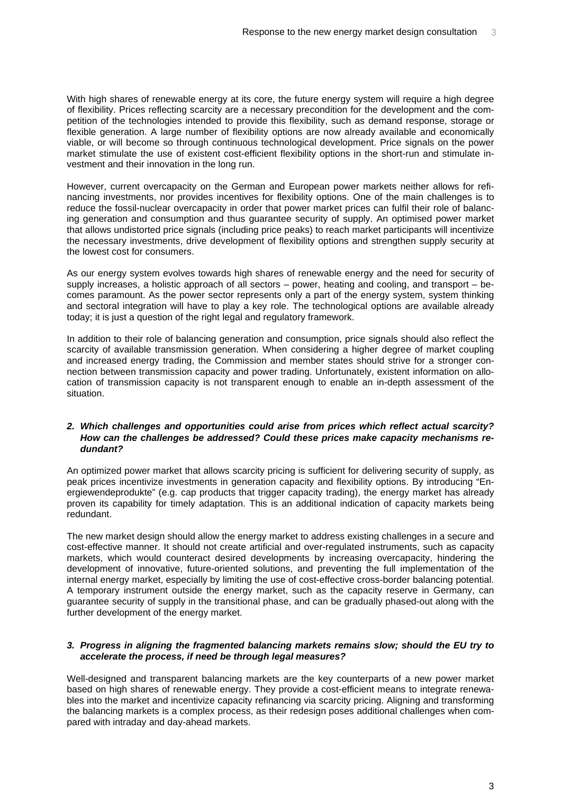With high shares of renewable energy at its core, the future energy system will require a high degree of flexibility. Prices reflecting scarcity are a necessary precondition for the development and the competition of the technologies intended to provide this flexibility, such as demand response, storage or flexible generation. A large number of flexibility options are now already available and economically viable, or will become so through continuous technological development. Price signals on the power market stimulate the use of existent cost-efficient flexibility options in the short-run and stimulate investment and their innovation in the long run.

However, current overcapacity on the German and European power markets neither allows for refinancing investments, nor provides incentives for flexibility options. One of the main challenges is to reduce the fossil-nuclear overcapacity in order that power market prices can fulfil their role of balancing generation and consumption and thus guarantee security of supply. An optimised power market that allows undistorted price signals (including price peaks) to reach market participants will incentivize the necessary investments, drive development of flexibility options and strengthen supply security at the lowest cost for consumers.

As our energy system evolves towards high shares of renewable energy and the need for security of supply increases, a holistic approach of all sectors – power, heating and cooling, and transport – becomes paramount. As the power sector represents only a part of the energy system, system thinking and sectoral integration will have to play a key role. The technological options are available already today; it is just a question of the right legal and regulatory framework.

In addition to their role of balancing generation and consumption, price signals should also reflect the scarcity of available transmission generation. When considering a higher degree of market coupling and increased energy trading, the Commission and member states should strive for a stronger connection between transmission capacity and power trading. Unfortunately, existent information on allocation of transmission capacity is not transparent enough to enable an in-depth assessment of the situation.

## **2. Which challenges and opportunities could arise from prices which reflect actual scarcity? How can the challenges be addressed? Could these prices make capacity mechanisms redundant?**

An optimized power market that allows scarcity pricing is sufficient for delivering security of supply, as peak prices incentivize investments in generation capacity and flexibility options. By introducing "Energiewendeprodukte" (e.g. cap products that trigger capacity trading), the energy market has already proven its capability for timely adaptation. This is an additional indication of capacity markets being redundant.

The new market design should allow the energy market to address existing challenges in a secure and cost-effective manner. It should not create artificial and over-regulated instruments, such as capacity markets, which would counteract desired developments by increasing overcapacity, hindering the development of innovative, future-oriented solutions, and preventing the full implementation of the internal energy market, especially by limiting the use of cost-effective cross-border balancing potential. A temporary instrument outside the energy market, such as the capacity reserve in Germany, can guarantee security of supply in the transitional phase, and can be gradually phased-out along with the further development of the energy market.

#### **3. Progress in aligning the fragmented balancing markets remains slow; should the EU try to accelerate the process, if need be through legal measures?**

Well-designed and transparent balancing markets are the key counterparts of a new power market based on high shares of renewable energy. They provide a cost-efficient means to integrate renewables into the market and incentivize capacity refinancing via scarcity pricing. Aligning and transforming the balancing markets is a complex process, as their redesign poses additional challenges when compared with intraday and day-ahead markets.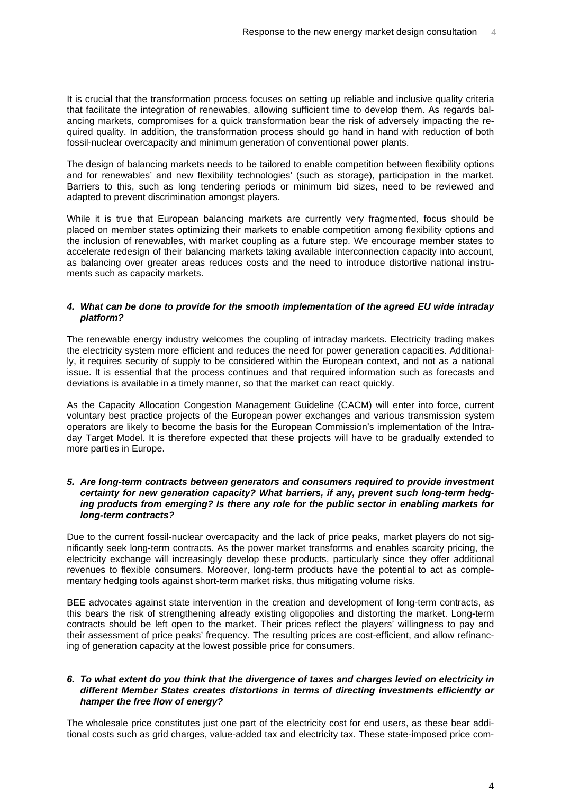It is crucial that the transformation process focuses on setting up reliable and inclusive quality criteria that facilitate the integration of renewables, allowing sufficient time to develop them. As regards balancing markets, compromises for a quick transformation bear the risk of adversely impacting the required quality. In addition, the transformation process should go hand in hand with reduction of both fossil-nuclear overcapacity and minimum generation of conventional power plants.

The design of balancing markets needs to be tailored to enable competition between flexibility options and for renewables' and new flexibility technologies' (such as storage), participation in the market. Barriers to this, such as long tendering periods or minimum bid sizes, need to be reviewed and adapted to prevent discrimination amongst players.

While it is true that European balancing markets are currently very fragmented, focus should be placed on member states optimizing their markets to enable competition among flexibility options and the inclusion of renewables, with market coupling as a future step. We encourage member states to accelerate redesign of their balancing markets taking available interconnection capacity into account, as balancing over greater areas reduces costs and the need to introduce distortive national instruments such as capacity markets.

## **4. What can be done to provide for the smooth implementation of the agreed EU wide intraday platform?**

The renewable energy industry welcomes the coupling of intraday markets. Electricity trading makes the electricity system more efficient and reduces the need for power generation capacities. Additionally, it requires security of supply to be considered within the European context, and not as a national issue. It is essential that the process continues and that required information such as forecasts and deviations is available in a timely manner, so that the market can react quickly.

As the Capacity Allocation Congestion Management Guideline (CACM) will enter into force, current voluntary best practice projects of the European power exchanges and various transmission system operators are likely to become the basis for the European Commission's implementation of the Intraday Target Model. It is therefore expected that these projects will have to be gradually extended to more parties in Europe.

## **5. Are long-term contracts between generators and consumers required to provide investment certainty for new generation capacity? What barriers, if any, prevent such long-term hedging products from emerging? Is there any role for the public sector in enabling markets for long-term contracts?**

Due to the current fossil-nuclear overcapacity and the lack of price peaks, market players do not significantly seek long-term contracts. As the power market transforms and enables scarcity pricing, the electricity exchange will increasingly develop these products, particularly since they offer additional revenues to flexible consumers. Moreover, long-term products have the potential to act as complementary hedging tools against short-term market risks, thus mitigating volume risks.

BEE advocates against state intervention in the creation and development of long-term contracts, as this bears the risk of strengthening already existing oligopolies and distorting the market. Long-term contracts should be left open to the market. Their prices reflect the players' willingness to pay and their assessment of price peaks' frequency. The resulting prices are cost-efficient, and allow refinancing of generation capacity at the lowest possible price for consumers.

## **6. To what extent do you think that the divergence of taxes and charges levied on electricity in different Member States creates distortions in terms of directing investments efficiently or hamper the free flow of energy?**

The wholesale price constitutes just one part of the electricity cost for end users, as these bear additional costs such as grid charges, value-added tax and electricity tax. These state-imposed price com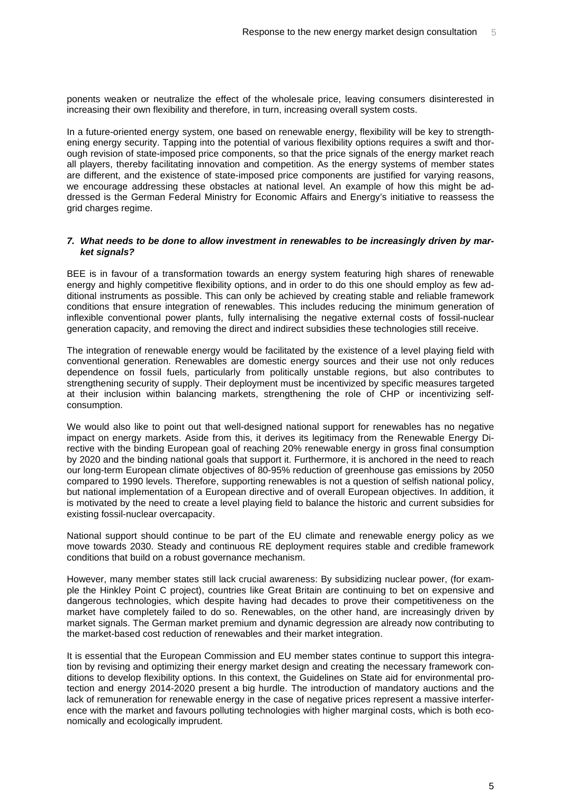ponents weaken or neutralize the effect of the wholesale price, leaving consumers disinterested in increasing their own flexibility and therefore, in turn, increasing overall system costs.

In a future-oriented energy system, one based on renewable energy, flexibility will be key to strengthening energy security. Tapping into the potential of various flexibility options requires a swift and thorough revision of state-imposed price components, so that the price signals of the energy market reach all players, thereby facilitating innovation and competition. As the energy systems of member states are different, and the existence of state-imposed price components are justified for varying reasons, we encourage addressing these obstacles at national level. An example of how this might be addressed is the German Federal Ministry for Economic Affairs and Energy's initiative to reassess the grid charges regime.

#### **7. What needs to be done to allow investment in renewables to be increasingly driven by market signals?**

BEE is in favour of a transformation towards an energy system featuring high shares of renewable energy and highly competitive flexibility options, and in order to do this one should employ as few additional instruments as possible. This can only be achieved by creating stable and reliable framework conditions that ensure integration of renewables. This includes reducing the minimum generation of inflexible conventional power plants, fully internalising the negative external costs of fossil-nuclear generation capacity, and removing the direct and indirect subsidies these technologies still receive.

The integration of renewable energy would be facilitated by the existence of a level playing field with conventional generation. Renewables are domestic energy sources and their use not only reduces dependence on fossil fuels, particularly from politically unstable regions, but also contributes to strengthening security of supply. Their deployment must be incentivized by specific measures targeted at their inclusion within balancing markets, strengthening the role of CHP or incentivizing selfconsumption.

We would also like to point out that well-designed national support for renewables has no negative impact on energy markets. Aside from this, it derives its legitimacy from the Renewable Energy Directive with the binding European goal of reaching 20% renewable energy in gross final consumption by 2020 and the binding national goals that support it. Furthermore, it is anchored in the need to reach our long-term European climate objectives of 80-95% reduction of greenhouse gas emissions by 2050 compared to 1990 levels. Therefore, supporting renewables is not a question of selfish national policy, but national implementation of a European directive and of overall European objectives. In addition, it is motivated by the need to create a level playing field to balance the historic and current subsidies for existing fossil-nuclear overcapacity.

National support should continue to be part of the EU climate and renewable energy policy as we move towards 2030. Steady and continuous RE deployment requires stable and credible framework conditions that build on a robust governance mechanism.

However, many member states still lack crucial awareness: By subsidizing nuclear power, (for example the Hinkley Point C project), countries like Great Britain are continuing to bet on expensive and dangerous technologies, which despite having had decades to prove their competitiveness on the market have completely failed to do so. Renewables, on the other hand, are increasingly driven by market signals. The German market premium and dynamic degression are already now contributing to the market-based cost reduction of renewables and their market integration.

It is essential that the European Commission and EU member states continue to support this integration by revising and optimizing their energy market design and creating the necessary framework conditions to develop flexibility options. In this context, the Guidelines on State aid for environmental protection and energy 2014-2020 present a big hurdle. The introduction of mandatory auctions and the lack of remuneration for renewable energy in the case of negative prices represent a massive interference with the market and favours polluting technologies with higher marginal costs, which is both economically and ecologically imprudent.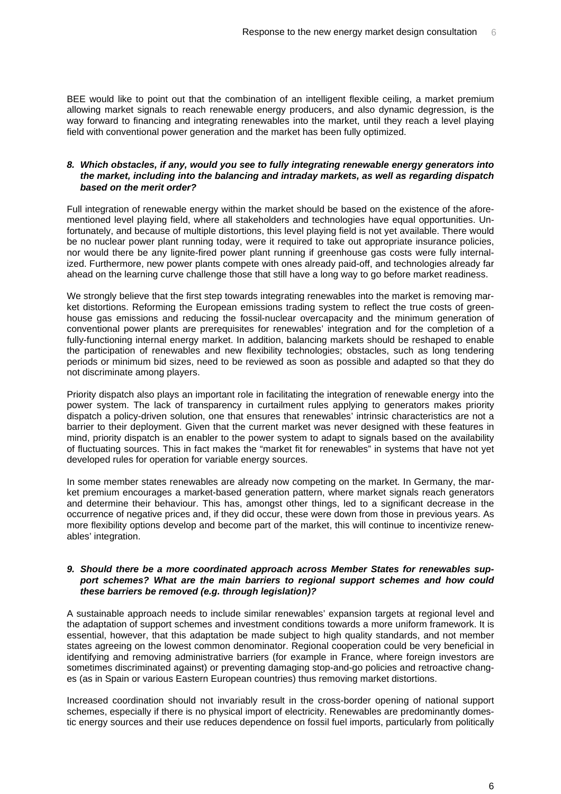BEE would like to point out that the combination of an intelligent flexible ceiling, a market premium allowing market signals to reach renewable energy producers, and also dynamic degression, is the way forward to financing and integrating renewables into the market, until they reach a level playing field with conventional power generation and the market has been fully optimized.

# **8. Which obstacles, if any, would you see to fully integrating renewable energy generators into the market, including into the balancing and intraday markets, as well as regarding dispatch based on the merit order?**

Full integration of renewable energy within the market should be based on the existence of the aforementioned level playing field, where all stakeholders and technologies have equal opportunities. Unfortunately, and because of multiple distortions, this level playing field is not yet available. There would be no nuclear power plant running today, were it required to take out appropriate insurance policies, nor would there be any lignite-fired power plant running if greenhouse gas costs were fully internalized. Furthermore, new power plants compete with ones already paid-off, and technologies already far ahead on the learning curve challenge those that still have a long way to go before market readiness.

We strongly believe that the first step towards integrating renewables into the market is removing market distortions. Reforming the European emissions trading system to reflect the true costs of greenhouse gas emissions and reducing the fossil-nuclear overcapacity and the minimum generation of conventional power plants are prerequisites for renewables' integration and for the completion of a fully-functioning internal energy market. In addition, balancing markets should be reshaped to enable the participation of renewables and new flexibility technologies; obstacles, such as long tendering periods or minimum bid sizes, need to be reviewed as soon as possible and adapted so that they do not discriminate among players.

Priority dispatch also plays an important role in facilitating the integration of renewable energy into the power system. The lack of transparency in curtailment rules applying to generators makes priority dispatch a policy-driven solution, one that ensures that renewables' intrinsic characteristics are not a barrier to their deployment. Given that the current market was never designed with these features in mind, priority dispatch is an enabler to the power system to adapt to signals based on the availability of fluctuating sources. This in fact makes the "market fit for renewables" in systems that have not yet developed rules for operation for variable energy sources.

In some member states renewables are already now competing on the market. In Germany, the market premium encourages a market-based generation pattern, where market signals reach generators and determine their behaviour. This has, amongst other things, led to a significant decrease in the occurrence of negative prices and, if they did occur, these were down from those in previous years. As more flexibility options develop and become part of the market, this will continue to incentivize renewables' integration.

## **9. Should there be a more coordinated approach across Member States for renewables support schemes? What are the main barriers to regional support schemes and how could these barriers be removed (e.g. through legislation)?**

A sustainable approach needs to include similar renewables' expansion targets at regional level and the adaptation of support schemes and investment conditions towards a more uniform framework. It is essential, however, that this adaptation be made subject to high quality standards, and not member states agreeing on the lowest common denominator. Regional cooperation could be very beneficial in identifying and removing administrative barriers (for example in France, where foreign investors are sometimes discriminated against) or preventing damaging stop-and-go policies and retroactive changes (as in Spain or various Eastern European countries) thus removing market distortions.

Increased coordination should not invariably result in the cross-border opening of national support schemes, especially if there is no physical import of electricity. Renewables are predominantly domestic energy sources and their use reduces dependence on fossil fuel imports, particularly from politically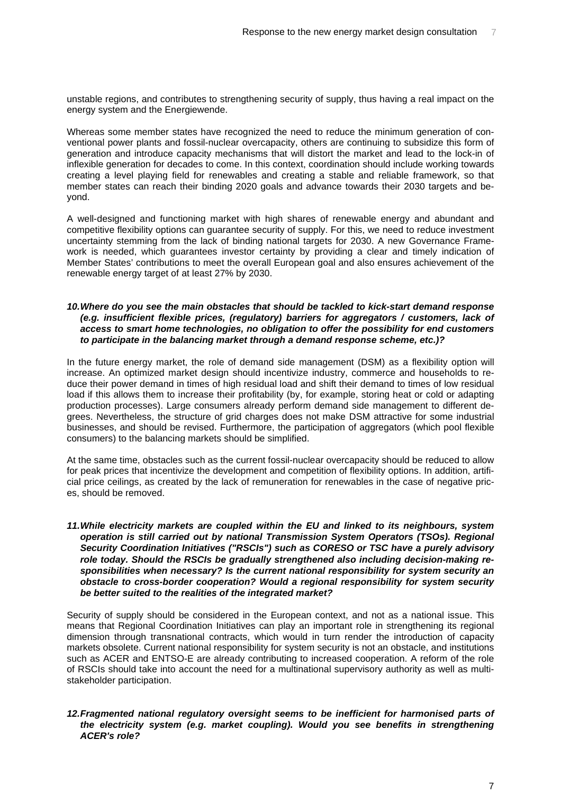unstable regions, and contributes to strengthening security of supply, thus having a real impact on the energy system and the Energiewende.

Whereas some member states have recognized the need to reduce the minimum generation of conventional power plants and fossil-nuclear overcapacity, others are continuing to subsidize this form of generation and introduce capacity mechanisms that will distort the market and lead to the lock-in of inflexible generation for decades to come. In this context, coordination should include working towards creating a level playing field for renewables and creating a stable and reliable framework, so that member states can reach their binding 2020 goals and advance towards their 2030 targets and beyond.

A well-designed and functioning market with high shares of renewable energy and abundant and competitive flexibility options can guarantee security of supply. For this, we need to reduce investment uncertainty stemming from the lack of binding national targets for 2030. A new Governance Framework is needed, which guarantees investor certainty by providing a clear and timely indication of Member States' contributions to meet the overall European goal and also ensures achievement of the renewable energy target of at least 27% by 2030.

# **10. Where do you see the main obstacles that should be tackled to kick-start demand response (e.g. insufficient flexible prices, (regulatory) barriers for aggregators / customers, lack of access to smart home technologies, no obligation to offer the possibility for end customers to participate in the balancing market through a demand response scheme, etc.)?**

In the future energy market, the role of demand side management (DSM) as a flexibility option will increase. An optimized market design should incentivize industry, commerce and households to reduce their power demand in times of high residual load and shift their demand to times of low residual load if this allows them to increase their profitability (by, for example, storing heat or cold or adapting production processes). Large consumers already perform demand side management to different degrees. Nevertheless, the structure of grid charges does not make DSM attractive for some industrial businesses, and should be revised. Furthermore, the participation of aggregators (which pool flexible consumers) to the balancing markets should be simplified.

At the same time, obstacles such as the current fossil-nuclear overcapacity should be reduced to allow for peak prices that incentivize the development and competition of flexibility options. In addition, artificial price ceilings, as created by the lack of remuneration for renewables in the case of negative prices, should be removed.

# **11. While electricity markets are coupled within the EU and linked to its neighbours, system operation is still carried out by national Transmission System Operators (TSOs). Regional Security Coordination Initiatives ("RSCIs") such as CORESO or TSC have a purely advisory role today. Should the RSCIs be gradually strengthened also including decision-making responsibilities when necessary? Is the current national responsibility for system security an obstacle to cross-border cooperation? Would a regional responsibility for system security be better suited to the realities of the integrated market?**

Security of supply should be considered in the European context, and not as a national issue. This means that Regional Coordination Initiatives can play an important role in strengthening its regional dimension through transnational contracts, which would in turn render the introduction of capacity markets obsolete. Current national responsibility for system security is not an obstacle, and institutions such as ACER and ENTSO-E are already contributing to increased cooperation. A reform of the role of RSCIs should take into account the need for a multinational supervisory authority as well as multistakeholder participation.

## **12. Fragmented national regulatory oversight seems to be inefficient for harmonised parts of the electricity system (e.g. market coupling). Would you see benefits in strengthening ACER's role?**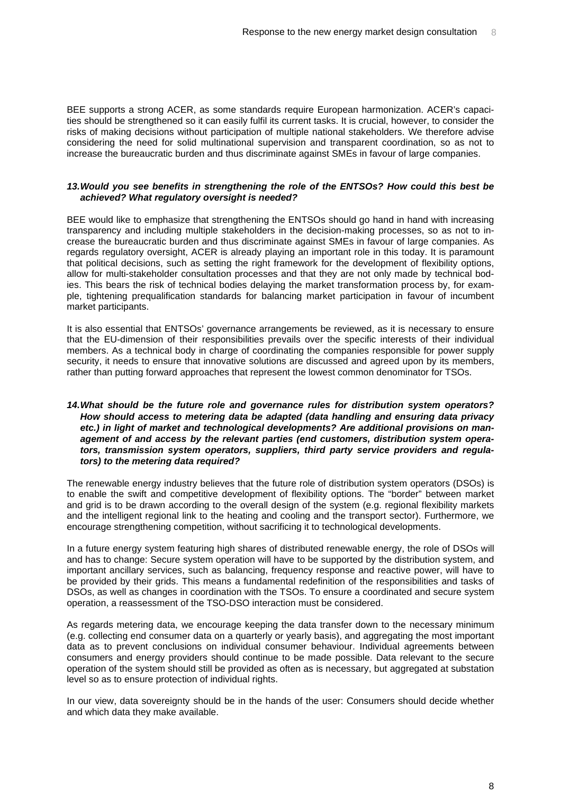BEE supports a strong ACER, as some standards require European harmonization. ACER's capacities should be strengthened so it can easily fulfil its current tasks. It is crucial, however, to consider the risks of making decisions without participation of multiple national stakeholders. We therefore advise considering the need for solid multinational supervision and transparent coordination, so as not to increase the bureaucratic burden and thus discriminate against SMEs in favour of large companies.

#### **13. Would you see benefits in strengthening the role of the ENTSOs? How could this best be achieved? What regulatory oversight is needed?**

BEE would like to emphasize that strengthening the ENTSOs should go hand in hand with increasing transparency and including multiple stakeholders in the decision-making processes, so as not to increase the bureaucratic burden and thus discriminate against SMEs in favour of large companies. As regards regulatory oversight, ACER is already playing an important role in this today. It is paramount that political decisions, such as setting the right framework for the development of flexibility options, allow for multi-stakeholder consultation processes and that they are not only made by technical bodies. This bears the risk of technical bodies delaying the market transformation process by, for example, tightening prequalification standards for balancing market participation in favour of incumbent market participants.

It is also essential that ENTSOs' governance arrangements be reviewed, as it is necessary to ensure that the EU-dimension of their responsibilities prevails over the specific interests of their individual members. As a technical body in charge of coordinating the companies responsible for power supply security, it needs to ensure that innovative solutions are discussed and agreed upon by its members, rather than putting forward approaches that represent the lowest common denominator for TSOs.

## **14. What should be the future role and governance rules for distribution system operators? How should access to metering data be adapted (data handling and ensuring data privacy etc.) in light of market and technological developments? Are additional provisions on management of and access by the relevant parties (end customers, distribution system operators, transmission system operators, suppliers, third party service providers and regulators) to the metering data required?**

The renewable energy industry believes that the future role of distribution system operators (DSOs) is to enable the swift and competitive development of flexibility options. The "border" between market and grid is to be drawn according to the overall design of the system (e.g. regional flexibility markets and the intelligent regional link to the heating and cooling and the transport sector). Furthermore, we encourage strengthening competition, without sacrificing it to technological developments.

In a future energy system featuring high shares of distributed renewable energy, the role of DSOs will and has to change: Secure system operation will have to be supported by the distribution system, and important ancillary services, such as balancing, frequency response and reactive power, will have to be provided by their grids. This means a fundamental redefinition of the responsibilities and tasks of DSOs, as well as changes in coordination with the TSOs. To ensure a coordinated and secure system operation, a reassessment of the TSO-DSO interaction must be considered.

As regards metering data, we encourage keeping the data transfer down to the necessary minimum (e.g. collecting end consumer data on a quarterly or yearly basis), and aggregating the most important data as to prevent conclusions on individual consumer behaviour. Individual agreements between consumers and energy providers should continue to be made possible. Data relevant to the secure operation of the system should still be provided as often as is necessary, but aggregated at substation level so as to ensure protection of individual rights.

In our view, data sovereignty should be in the hands of the user: Consumers should decide whether and which data they make available.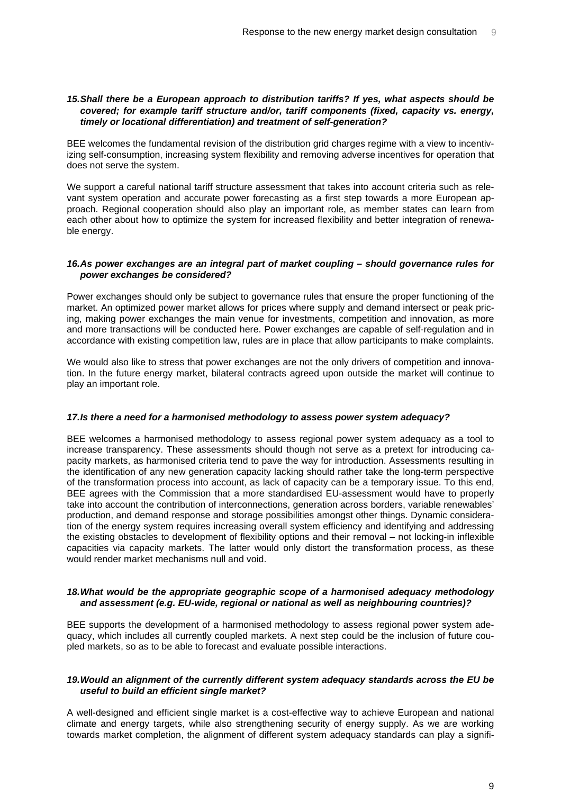## **15. Shall there be a European approach to distribution tariffs? If yes, what aspects should be covered; for example tariff structure and/or, tariff components (fixed, capacity vs. energy, timely or locational differentiation) and treatment of self-generation?**

BEE welcomes the fundamental revision of the distribution grid charges regime with a view to incentivizing self-consumption, increasing system flexibility and removing adverse incentives for operation that does not serve the system.

We support a careful national tariff structure assessment that takes into account criteria such as relevant system operation and accurate power forecasting as a first step towards a more European approach. Regional cooperation should also play an important role, as member states can learn from each other about how to optimize the system for increased flexibility and better integration of renewable energy.

## **16. As power exchanges are an integral part of market coupling – should governance rules for power exchanges be considered?**

Power exchanges should only be subject to governance rules that ensure the proper functioning of the market. An optimized power market allows for prices where supply and demand intersect or peak pricing, making power exchanges the main venue for investments, competition and innovation, as more and more transactions will be conducted here. Power exchanges are capable of self-regulation and in accordance with existing competition law, rules are in place that allow participants to make complaints.

We would also like to stress that power exchanges are not the only drivers of competition and innovation. In the future energy market, bilateral contracts agreed upon outside the market will continue to play an important role.

## **17. Is there a need for a harmonised methodology to assess power system adequacy?**

BEE welcomes a harmonised methodology to assess regional power system adequacy as a tool to increase transparency. These assessments should though not serve as a pretext for introducing capacity markets, as harmonised criteria tend to pave the way for introduction. Assessments resulting in the identification of any new generation capacity lacking should rather take the long-term perspective of the transformation process into account, as lack of capacity can be a temporary issue. To this end, BEE agrees with the Commission that a more standardised EU-assessment would have to properly take into account the contribution of interconnections, generation across borders, variable renewables' production, and demand response and storage possibilities amongst other things. Dynamic consideration of the energy system requires increasing overall system efficiency and identifying and addressing the existing obstacles to development of flexibility options and their removal – not locking-in inflexible capacities via capacity markets. The latter would only distort the transformation process, as these would render market mechanisms null and void.

# **18. What would be the appropriate geographic scope of a harmonised adequacy methodology and assessment (e.g. EU-wide, regional or national as well as neighbouring countries)?**

BEE supports the development of a harmonised methodology to assess regional power system adequacy, which includes all currently coupled markets. A next step could be the inclusion of future coupled markets, so as to be able to forecast and evaluate possible interactions.

# **19. Would an alignment of the currently different system adequacy standards across the EU be useful to build an efficient single market?**

A well-designed and efficient single market is a cost-effective way to achieve European and national climate and energy targets, while also strengthening security of energy supply. As we are working towards market completion, the alignment of different system adequacy standards can play a signifi-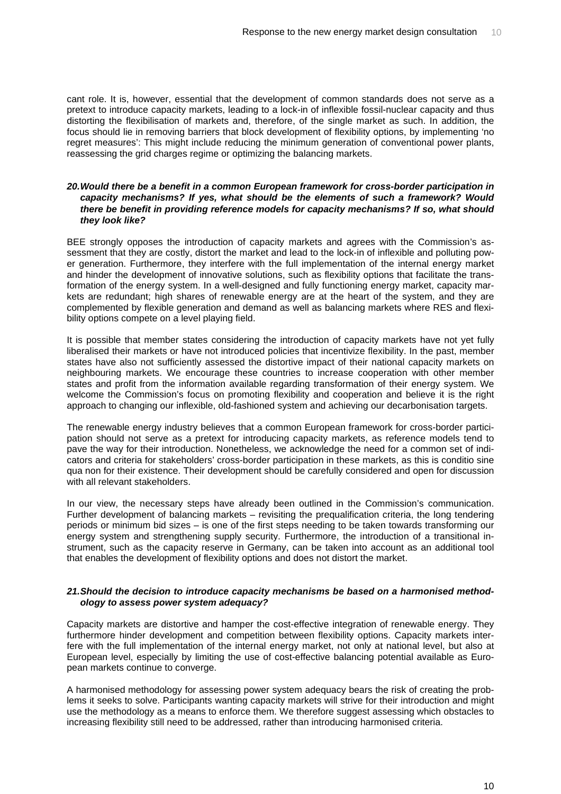cant role. It is, however, essential that the development of common standards does not serve as a pretext to introduce capacity markets, leading to a lock-in of inflexible fossil-nuclear capacity and thus distorting the flexibilisation of markets and, therefore, of the single market as such. In addition, the focus should lie in removing barriers that block development of flexibility options, by implementing 'no regret measures': This might include reducing the minimum generation of conventional power plants, reassessing the grid charges regime or optimizing the balancing markets.

## **20. Would there be a benefit in a common European framework for cross-border participation in capacity mechanisms? If yes, what should be the elements of such a framework? Would there be benefit in providing reference models for capacity mechanisms? If so, what should they look like?**

BEE strongly opposes the introduction of capacity markets and agrees with the Commission's assessment that they are costly, distort the market and lead to the lock-in of inflexible and polluting power generation. Furthermore, they interfere with the full implementation of the internal energy market and hinder the development of innovative solutions, such as flexibility options that facilitate the transformation of the energy system. In a well-designed and fully functioning energy market, capacity markets are redundant; high shares of renewable energy are at the heart of the system, and they are complemented by flexible generation and demand as well as balancing markets where RES and flexibility options compete on a level playing field.

It is possible that member states considering the introduction of capacity markets have not yet fully liberalised their markets or have not introduced policies that incentivize flexibility. In the past, member states have also not sufficiently assessed the distortive impact of their national capacity markets on neighbouring markets. We encourage these countries to increase cooperation with other member states and profit from the information available regarding transformation of their energy system. We welcome the Commission's focus on promoting flexibility and cooperation and believe it is the right approach to changing our inflexible, old-fashioned system and achieving our decarbonisation targets.

The renewable energy industry believes that a common European framework for cross-border participation should not serve as a pretext for introducing capacity markets, as reference models tend to pave the way for their introduction. Nonetheless, we acknowledge the need for a common set of indicators and criteria for stakeholders' cross-border participation in these markets, as this is conditio sine qua non for their existence. Their development should be carefully considered and open for discussion with all relevant stakeholders.

In our view, the necessary steps have already been outlined in the Commission's communication. Further development of balancing markets – revisiting the prequalification criteria, the long tendering periods or minimum bid sizes – is one of the first steps needing to be taken towards transforming our energy system and strengthening supply security. Furthermore, the introduction of a transitional instrument, such as the capacity reserve in Germany, can be taken into account as an additional tool that enables the development of flexibility options and does not distort the market.

# **21. Should the decision to introduce capacity mechanisms be based on a harmonised methodology to assess power system adequacy?**

Capacity markets are distortive and hamper the cost-effective integration of renewable energy. They furthermore hinder development and competition between flexibility options. Capacity markets interfere with the full implementation of the internal energy market, not only at national level, but also at European level, especially by limiting the use of cost-effective balancing potential available as European markets continue to converge.

A harmonised methodology for assessing power system adequacy bears the risk of creating the problems it seeks to solve. Participants wanting capacity markets will strive for their introduction and might use the methodology as a means to enforce them. We therefore suggest assessing which obstacles to increasing flexibility still need to be addressed, rather than introducing harmonised criteria.